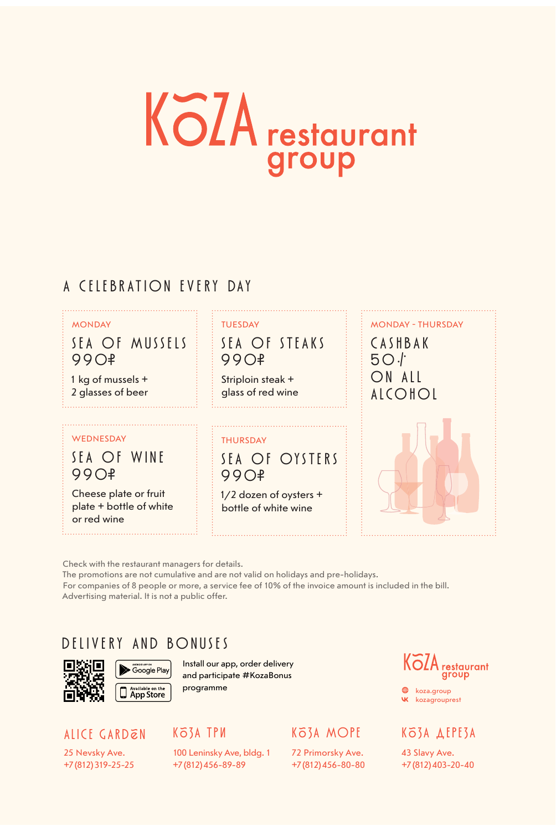# **KöZA** restaurant group

#### A CELEBRATION EVERY DAY

#### MONDAY : : : : TUESDAY

99O<del>!</del> 99O<del>!</del>

1 kg of mussels + 2 glasses of beer

#### WEDNESDAY **THURSDAY**

99O<del>f</del> 99O<del>f</del>

Cheese plate or fruit plate + bottle of white or red wine

SEA OF MUSSELS SEA OF STEAKS<br>990<del>2</del>

Striploin steak + glass of red wine

SEA OF WINE SEA OF OYSTERS

1/2 dozen of oysters + bottle of white wine



Check with the restaurant managers for details. The promotions are not cumulative and are not valid on holidays and pre-holidays. For companies of 8 people or more, a service fee of 10% of the invoice amount is included in the bill. Advertising material. It is not a public offer.

#### DELIVERY AND BONUSES





Install our app, order delivery and participate #KozaBonus programme

#### ALICE GARDEN

25 Nevsky Ave. +7 (812) 319-25-25

#### КЗА ТРИ

100 Leninsky Ave, bldg. 1 +7 (812) 456-89-89

#### КЗА МОРЕ

72 Primorsky Ave. +7 (812) 456-80-80



**W** kozagrouprest **<sup><sup>9</sup>** koza.group</sup>

#### КЗА ДЕРЕЗА

43 Slavy Ave. +7 (812) 403-20-40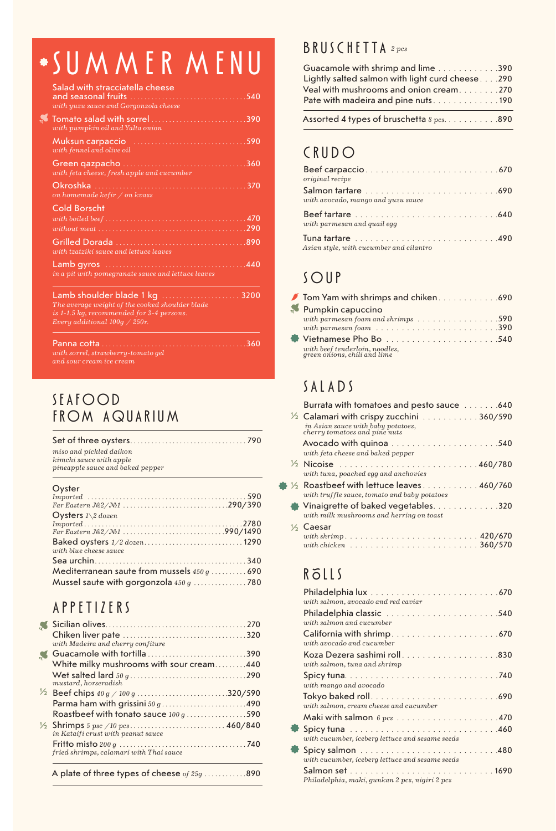## SUMMER MENU

| Salad with stracciatella cheese<br>with yuzu sauce and Gorgonzola cheese                                                                                                                   | 540  |
|--------------------------------------------------------------------------------------------------------------------------------------------------------------------------------------------|------|
| with pumpkin oil and Yalta onion                                                                                                                                                           |      |
| with fennel and olive oil                                                                                                                                                                  | 590  |
| Green qazpacho<br><u> 1990 - 1990 - 1990 - 1990 - 1990 - 1990 - 1990 - 1990 - 1990 - 1990 - 1990 - 1990 - 1990 - 1990 - 1990 - 1990 - 19</u><br>with feta cheese, fresh apple and cucumber | 360  |
| Okroshka<br>on homemade kefir $\sqrt{$ on kvass                                                                                                                                            | .370 |
| <b>Cold Borscht</b>                                                                                                                                                                        |      |
|                                                                                                                                                                                            |      |
|                                                                                                                                                                                            |      |
| with tzatziki sauce and lettuce leaves                                                                                                                                                     |      |
| in a pit with pomegranate sauce and lettuce leaves                                                                                                                                         | 440  |
| Lamb shoulder blade 1 kg<br>The average weight of the cooked shoulder blade<br>is 1-1.5 kg, recommended for 3-4 persons.<br>Every additional $100q \times 250r$ .                          | 3200 |
| Panna cotta<br>with sorrel, strawberry-tomato gel<br>and sour cream ice cream                                                                                                              | -360 |

#### SEAFOOD FROM AQUARIUM

| miso and pickled daikon<br>kimchi sauce with apple<br>pineapple sauce and baked pepper |  |
|----------------------------------------------------------------------------------------|--|
| Oyster                                                                                 |  |
|                                                                                        |  |
|                                                                                        |  |
| Oysters $1\backslash 2$ dozen                                                          |  |
|                                                                                        |  |
|                                                                                        |  |

| with blue cheese sauce                      |  |
|---------------------------------------------|--|
|                                             |  |
| Mediterranean saute from mussels 450 g  690 |  |
| Mussel saute with gorgonzola 450 g 780      |  |

### APPETIZERS

| with Madeira and cherry confiture                                             |      |
|-------------------------------------------------------------------------------|------|
| Guacamole with tortilla390                                                    |      |
| White milky mushrooms with sour cream440                                      |      |
| mustard, horseradish                                                          |      |
| $\frac{1}{2}$ Beef chips $40 g / 100 g$ 320/590                               |      |
| Parma ham with grissini 50 g490                                               |      |
| Roastbeef with tonato sauce 100 g 590                                         |      |
| in Kataifi crust with peanut sauce                                            |      |
| fried shrimps, calamari with Thai sauce                                       |      |
| $\Lambda$ is late as the season for the season of a large season of $\Lambda$ | nnn. |

#### A plate of three types of cheese *of 25g. . . . . . . . . . . .* 890

#### **BRUSCHETTA** 2 pcs

| Guacamole with shrimp and lime 390              |  |
|-------------------------------------------------|--|
| Lightly salted salmon with light curd cheese290 |  |
| Veal with mushrooms and onion cream. 270        |  |
| Pate with madeira and pine nuts. 190            |  |
|                                                 |  |

Assorted 4 types of bruschetta  $8 \text{ } pcs.$  . . . . . . . . . . . 890

#### CRUDO

| original recipe                         |
|-----------------------------------------|
| with avocado, mango and yuzu sauce      |
| with parmesan and quail egg             |
| Asian style, with cucumber and cilantro |

#### SOUP

| Tom Yam with shrimps and chiken690                                               |  |
|----------------------------------------------------------------------------------|--|
| Pumpkin capuccino                                                                |  |
| with parmesan foam and shrimps $\ldots \ldots \ldots \ldots \ldots$ . 590        |  |
| with parmesan foam $\ldots \ldots \ldots \ldots \ldots \ldots \ldots \ldots 390$ |  |
|                                                                                  |  |
| $with\,beef\,tenderloin, \,noodles, \,green\,onions, \,chili\,and\,lime$         |  |

### SALADS

| Burrata with tomatoes and pesto sauce 640                                                                                  |
|----------------------------------------------------------------------------------------------------------------------------|
| $\frac{1}{2}$ Calamari with crispy zucchini 360/590<br>in Asian sauce with baby potatoes,<br>cherry tomatoes and pine nuts |
| with feta cheese and baked pepper                                                                                          |
| $\frac{1}{2}$ Nicoise 460/780<br>with tuna, poached egg and anchovies                                                      |
| $\frac{1}{2}$ Roastbeef with lettuce leaves 460/760<br>with truffle sauce, tomato and baby potatoes                        |
| Vinaigrette of baked vegetables. 320<br>with milk mushrooms and herring on toast                                           |
| $\%$ Caesar<br>with chicken $\ldots \ldots \ldots \ldots \ldots \ldots \ldots \ldots \ldots 360/570$                       |

### ROLLS

| with salmon, avocado and red caviar                                                           |
|-----------------------------------------------------------------------------------------------|
| Philadelphia classic 540<br>with salmon and cucumber                                          |
| with avocado and cucumber                                                                     |
| with salmon, tuna and shrimp                                                                  |
| with mango and avocado                                                                        |
| with salmon, cream cheese and cucumber                                                        |
| Maki with salmon $6 \text{ } ps \text{ } \dots \dots \dots \dots \dots \dots \dots \dots 470$ |
| with cucumber, iceberg lettuce and sesame seeds                                               |
| with cucumber, iceberg lettuce and sesame seeds                                               |
| Philadelphia, maki, gunkan 2 pcs, nigiri 2 pcs                                                |